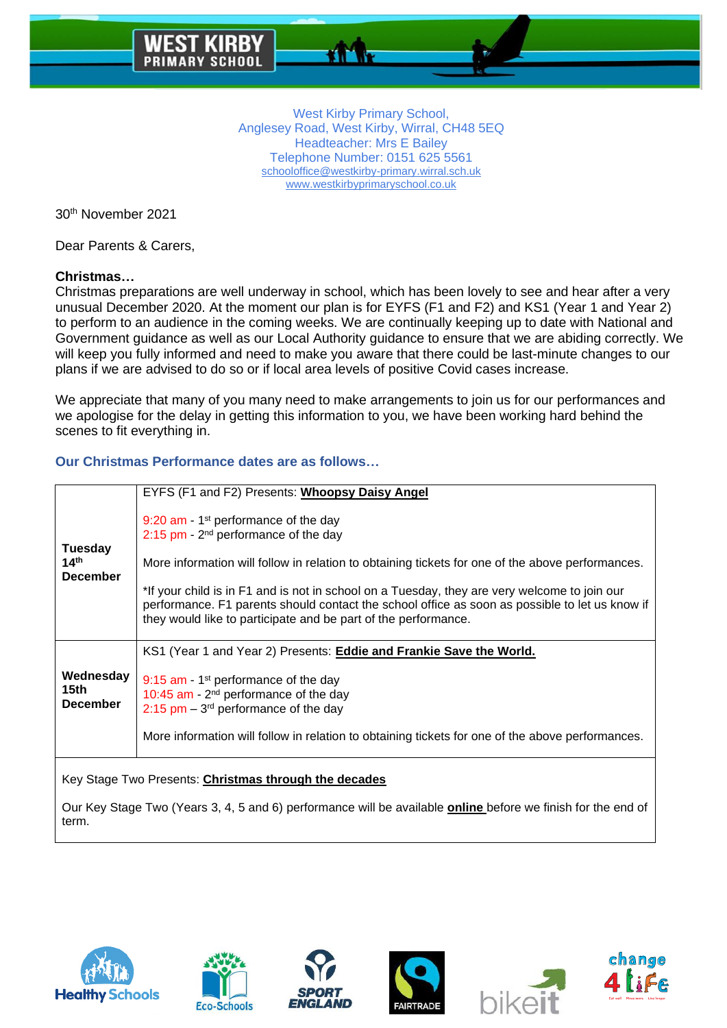30th November 2021

Dear Parents & Carers,

# **Christmas…**

Christmas preparations are well underway in school, which has been lovely to see and hear after a very unusual December 2020. At the moment our plan is for EYFS (F1 and F2) and KS1 (Year 1 and Year 2) to perform to an audience in the coming weeks. We are continually keeping up to date with National and Government guidance as well as our Local Authority guidance to ensure that we are abiding correctly. We will keep you fully informed and need to make you aware that there could be last-minute changes to our plans if we are advised to do so or if local area levels of positive Covid cases increase.

We appreciate that many of you many need to make arrangements to join us for our performances and we apologise for the delay in getting this information to you, we have been working hard behind the scenes to fit everything in.

## **Our Christmas Performance dates are as follows…**

|                                                  | EYFS (F1 and F2) Presents: Whoopsy Daisy Angel                                                                                                                                                                                                                   |
|--------------------------------------------------|------------------------------------------------------------------------------------------------------------------------------------------------------------------------------------------------------------------------------------------------------------------|
| <b>Tuesday</b>                                   | 9:20 am - $1st$ performance of the day<br>$2:15$ pm - $2nd$ performance of the day                                                                                                                                                                               |
| 14 <sup>th</sup>                                 | More information will follow in relation to obtaining tickets for one of the above performances.                                                                                                                                                                 |
| <b>December</b>                                  | *If your child is in F1 and is not in school on a Tuesday, they are very welcome to join our<br>performance. F1 parents should contact the school office as soon as possible to let us know if<br>they would like to participate and be part of the performance. |
|                                                  |                                                                                                                                                                                                                                                                  |
|                                                  | KS1 (Year 1 and Year 2) Presents: <b>Eddie and Frankie Save the World.</b>                                                                                                                                                                                       |
| Wednesday<br>15 <sub>th</sub><br><b>December</b> | 9:15 $am - 1$ <sup>st</sup> performance of the day<br>10:45 am $-2^{nd}$ performance of the day<br>$2:15$ pm – 3 <sup>rd</sup> performance of the day                                                                                                            |
|                                                  | More information will follow in relation to obtaining tickets for one of the above performances.                                                                                                                                                                 |

Our Key Stage Two (Years 3, 4, 5 and 6) performance will be available **online** before we finish for the end of term.











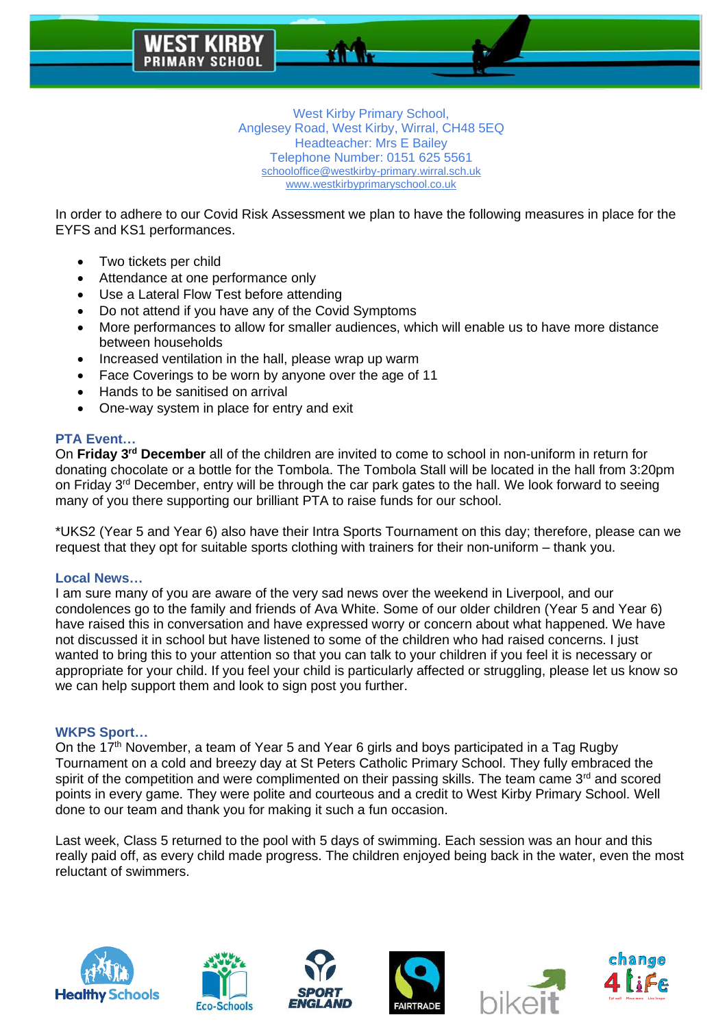

In order to adhere to our Covid Risk Assessment we plan to have the following measures in place for the EYFS and KS1 performances.

- Two tickets per child
- Attendance at one performance only
- Use a Lateral Flow Test before attending
- Do not attend if you have any of the Covid Symptoms
- More performances to allow for smaller audiences, which will enable us to have more distance between households
- Increased ventilation in the hall, please wrap up warm
- Face Coverings to be worn by anyone over the age of 11
- Hands to be sanitised on arrival
- One-way system in place for entry and exit

### **PTA Event…**

On **Friday 3rd December** all of the children are invited to come to school in non-uniform in return for donating chocolate or a bottle for the Tombola. The Tombola Stall will be located in the hall from 3:20pm on Friday 3<sup>rd</sup> December, entry will be through the car park gates to the hall. We look forward to seeing many of you there supporting our brilliant PTA to raise funds for our school.

\*UKS2 (Year 5 and Year 6) also have their Intra Sports Tournament on this day; therefore, please can we request that they opt for suitable sports clothing with trainers for their non-uniform – thank you.

#### **Local News…**

I am sure many of you are aware of the very sad news over the weekend in Liverpool, and our condolences go to the family and friends of Ava White. Some of our older children (Year 5 and Year 6) have raised this in conversation and have expressed worry or concern about what happened. We have not discussed it in school but have listened to some of the children who had raised concerns. I just wanted to bring this to your attention so that you can talk to your children if you feel it is necessary or appropriate for your child. If you feel your child is particularly affected or struggling, please let us know so we can help support them and look to sign post you further.

#### **WKPS Sport…**

On the 17<sup>th</sup> November, a team of Year 5 and Year 6 girls and boys participated in a Tag Rugby Tournament on a cold and breezy day at St Peters Catholic Primary School. They fully embraced the spirit of the competition and were complimented on their passing skills. The team came 3<sup>rd</sup> and scored points in every game. They were polite and courteous and a credit to West Kirby Primary School. Well done to our team and thank you for making it such a fun occasion.

Last week, Class 5 returned to the pool with 5 days of swimming. Each session was an hour and this really paid off, as every child made progress. The children enjoyed being back in the water, even the most reluctant of swimmers.











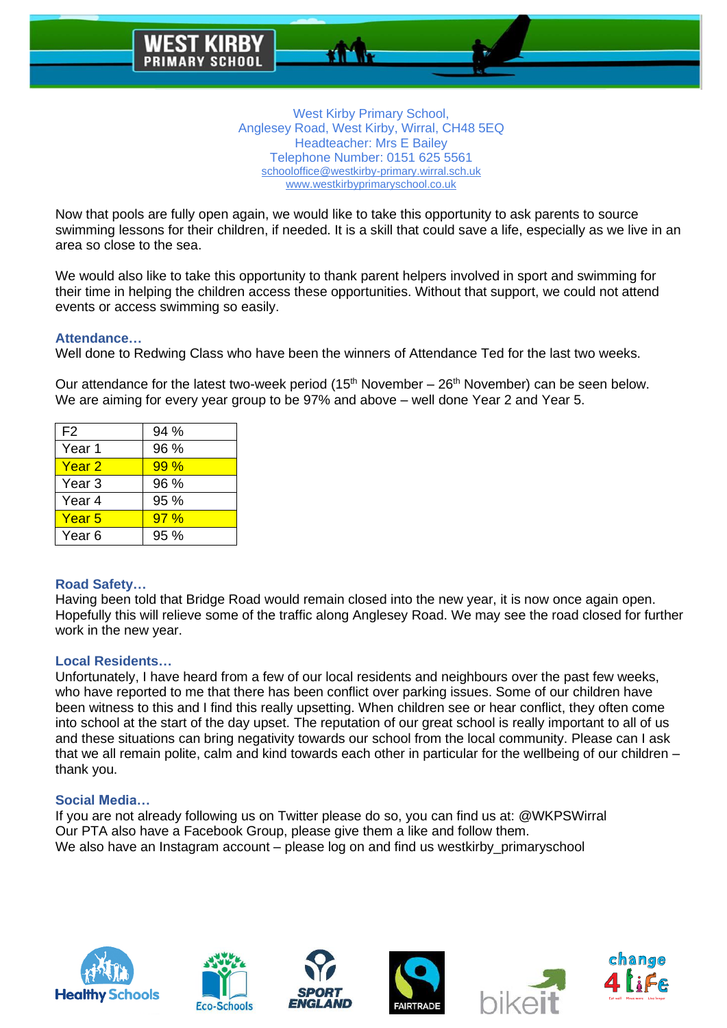

Now that pools are fully open again, we would like to take this opportunity to ask parents to source swimming lessons for their children, if needed. It is a skill that could save a life, especially as we live in an area so close to the sea.

We would also like to take this opportunity to thank parent helpers involved in sport and swimming for their time in helping the children access these opportunities. Without that support, we could not attend events or access swimming so easily.

### **Attendance…**

Well done to Redwing Class who have been the winners of Attendance Ted for the last two weeks.

Our attendance for the latest two-week period ( $15<sup>th</sup>$  November –  $26<sup>th</sup>$  November) can be seen below. We are aiming for every year group to be 97% and above – well done Year 2 and Year 5.

| F <sub>2</sub> | 94 % |
|----------------|------|
| Year 1         | 96 % |
| Year 2         | 99%  |
| Year 3         | 96 % |
| Year 4         | 95%  |
| Year 5         | 97%  |
| Year 6         | 95 % |

#### **Road Safety…**

Having been told that Bridge Road would remain closed into the new year, it is now once again open. Hopefully this will relieve some of the traffic along Anglesey Road. We may see the road closed for further work in the new year.

#### **Local Residents…**

Unfortunately, I have heard from a few of our local residents and neighbours over the past few weeks, who have reported to me that there has been conflict over parking issues. Some of our children have been witness to this and I find this really upsetting. When children see or hear conflict, they often come into school at the start of the day upset. The reputation of our great school is really important to all of us and these situations can bring negativity towards our school from the local community. Please can I ask that we all remain polite, calm and kind towards each other in particular for the wellbeing of our children – thank you.

#### **Social Media…**

If you are not already following us on Twitter please do so, you can find us at: @WKPSWirral Our PTA also have a Facebook Group, please give them a like and follow them. We also have an Instagram account – please log on and find us westkirby\_primaryschool











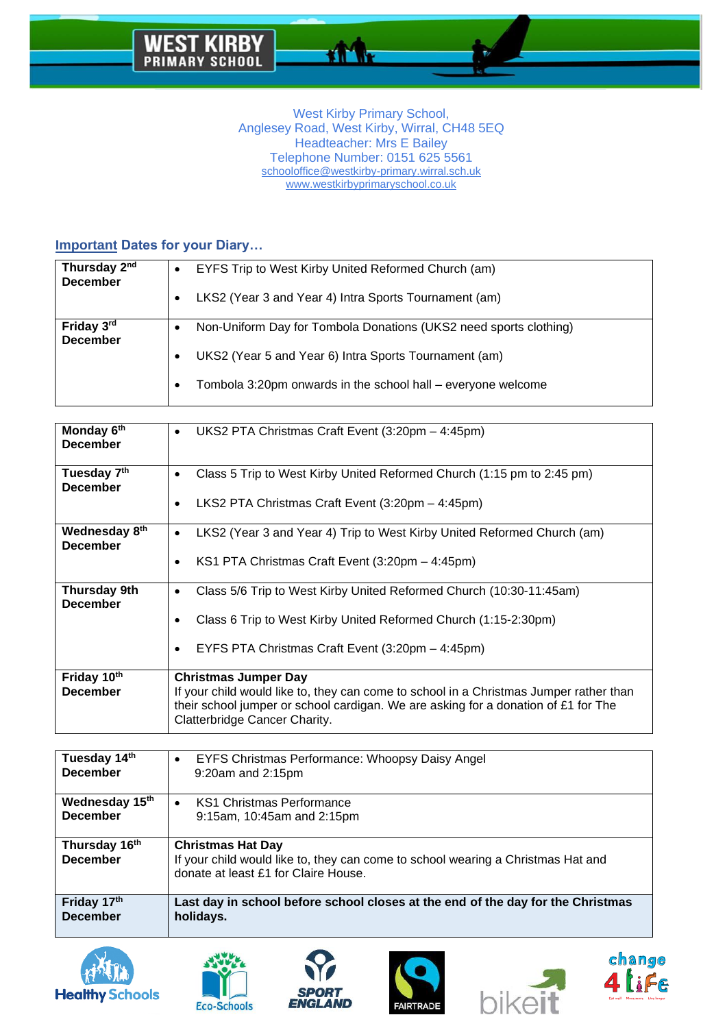аñ

## **Important Dates for your Diary…**

| Thursday 2 <sup>nd</sup>      | EYFS Trip to West Kirby United Reformed Church (am)                                                                                                                                        |
|-------------------------------|--------------------------------------------------------------------------------------------------------------------------------------------------------------------------------------------|
| <b>December</b>               | LKS2 (Year 3 and Year 4) Intra Sports Tournament (am)                                                                                                                                      |
| Friday 3rd<br><b>December</b> | Non-Uniform Day for Tombola Donations (UKS2 need sports clothing)<br>UKS2 (Year 5 and Year 6) Intra Sports Tournament (am)<br>Tombola 3:20pm onwards in the school hall – everyone welcome |

| Monday 6th<br><b>December</b>              | UKS2 PTA Christmas Craft Event (3:20pm - 4:45pm)<br>٠                                                                                                                                                                                        |
|--------------------------------------------|----------------------------------------------------------------------------------------------------------------------------------------------------------------------------------------------------------------------------------------------|
| Tuesday 7 <sup>th</sup><br><b>December</b> | Class 5 Trip to West Kirby United Reformed Church (1:15 pm to 2:45 pm)<br>٠<br>LKS2 PTA Christmas Craft Event (3:20pm - 4:45pm)                                                                                                              |
| Wednesday 8th<br><b>December</b>           | LKS2 (Year 3 and Year 4) Trip to West Kirby United Reformed Church (am)<br>٠<br>KS1 PTA Christmas Craft Event (3:20pm - 4:45pm)                                                                                                              |
| <b>Thursday 9th</b><br><b>December</b>     | Class 5/6 Trip to West Kirby United Reformed Church (10:30-11:45am)<br>٠<br>Class 6 Trip to West Kirby United Reformed Church (1:15-2:30pm)<br>EYFS PTA Christmas Craft Event (3:20pm - 4:45pm)                                              |
| Friday 10th<br><b>December</b>             | <b>Christmas Jumper Day</b><br>If your child would like to, they can come to school in a Christmas Jumper rather than<br>their school jumper or school cardigan. We are asking for a donation of £1 for The<br>Clatterbridge Cancer Charity. |

| Tuesday 14th<br><b>December</b>   | EYFS Christmas Performance: Whoopsy Daisy Angel<br>$\bullet$<br>9:20am and 2:15pm                                                                    |
|-----------------------------------|------------------------------------------------------------------------------------------------------------------------------------------------------|
| Wednesday 15th<br><b>December</b> | <b>KS1 Christmas Performance</b><br>$\bullet$<br>9:15am, 10:45am and 2:15pm                                                                          |
| Thursday 16th<br><b>December</b>  | <b>Christmas Hat Day</b><br>If your child would like to, they can come to school wearing a Christmas Hat and<br>donate at least £1 for Claire House. |
| Friday 17th<br><b>December</b>    | Last day in school before school closes at the end of the day for the Christmas<br>holidays.                                                         |